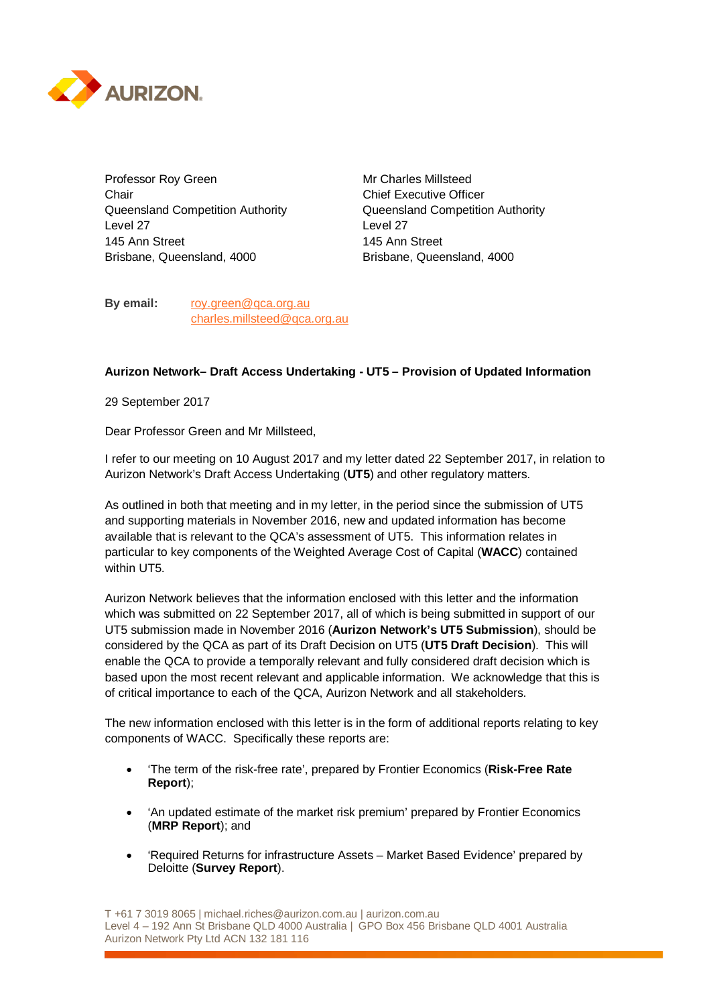

Professor Roy Green Mr Charles Millsteed Chair Chair Chair Chief Executive Officer Queensland Competition Authority Queensland Competition Authority Level 27 Level 27 145 Ann Street 145 Ann Street Brisbane, Queensland, 4000 Brisbane, Queensland, 4000

**By email:** roy.green@qca.org.au charles.millsteed@qca.org.au

## **Aurizon Network– Draft Access Undertaking - UT5 – Provision of Updated Information**

29 September 2017

Dear Professor Green and Mr Millsteed,

I refer to our meeting on 10 August 2017 and my letter dated 22 September 2017, in relation to Aurizon Network's Draft Access Undertaking (**UT5**) and other regulatory matters.

As outlined in both that meeting and in my letter, in the period since the submission of UT5 and supporting materials in November 2016, new and updated information has become available that is relevant to the QCA's assessment of UT5. This information relates in particular to key components of the Weighted Average Cost of Capital (**WACC**) contained within UT5.

Aurizon Network believes that the information enclosed with this letter and the information which was submitted on 22 September 2017, all of which is being submitted in support of our UT5 submission made in November 2016 (**Aurizon Network's UT5 Submission**), should be considered by the QCA as part of its Draft Decision on UT5 (**UT5 Draft Decision**). This will enable the QCA to provide a temporally relevant and fully considered draft decision which is based upon the most recent relevant and applicable information. We acknowledge that this is of critical importance to each of the QCA, Aurizon Network and all stakeholders.

The new information enclosed with this letter is in the form of additional reports relating to key components of WACC. Specifically these reports are:

- 'The term of the risk-free rate', prepared by Frontier Economics (**Risk-Free Rate Report**);
- 'An updated estimate of the market risk premium' prepared by Frontier Economics (**MRP Report**); and
- 'Required Returns for infrastructure Assets Market Based Evidence' prepared by Deloitte (**Survey Report**).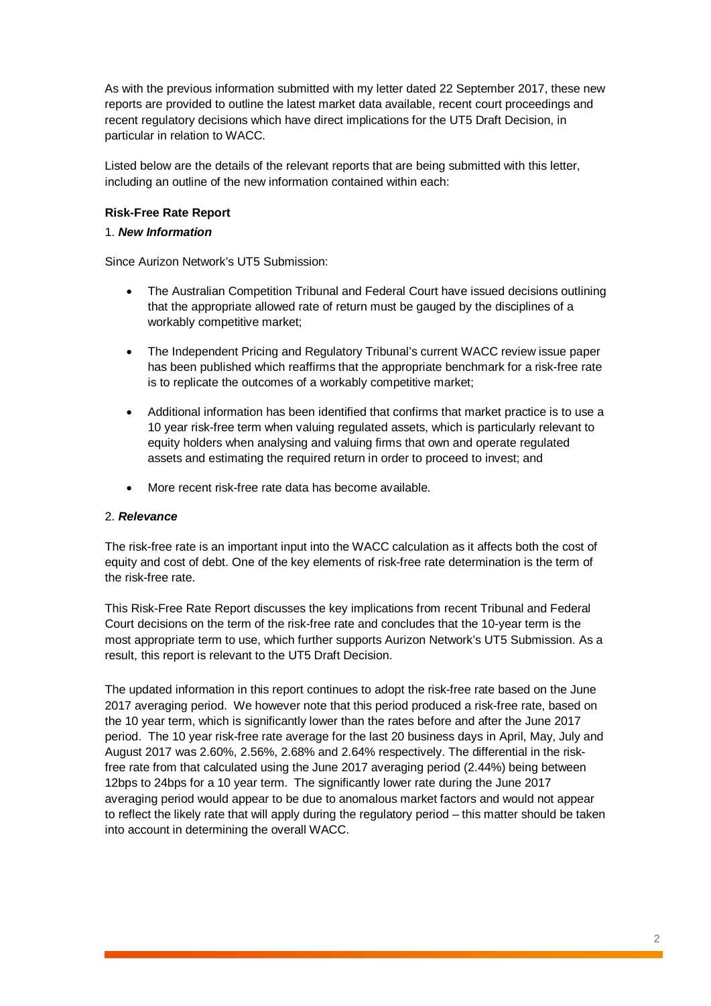As with the previous information submitted with my letter dated 22 September 2017, these new reports are provided to outline the latest market data available, recent court proceedings and recent regulatory decisions which have direct implications for the UT5 Draft Decision, in particular in relation to WACC.

Listed below are the details of the relevant reports that are being submitted with this letter, including an outline of the new information contained within each:

# **Risk-Free Rate Report**

## 1. *New Information*

Since Aurizon Network's UT5 Submission:

- The Australian Competition Tribunal and Federal Court have issued decisions outlining that the appropriate allowed rate of return must be gauged by the disciplines of a workably competitive market;
- The Independent Pricing and Regulatory Tribunal's current WACC review issue paper has been published which reaffirms that the appropriate benchmark for a risk-free rate is to replicate the outcomes of a workably competitive market;
- Additional information has been identified that confirms that market practice is to use a 10 year risk-free term when valuing regulated assets, which is particularly relevant to equity holders when analysing and valuing firms that own and operate regulated assets and estimating the required return in order to proceed to invest; and
- More recent risk-free rate data has become available.

## 2. *Relevance*

The risk-free rate is an important input into the WACC calculation as it affects both the cost of equity and cost of debt. One of the key elements of risk-free rate determination is the term of the risk-free rate.

This Risk-Free Rate Report discusses the key implications from recent Tribunal and Federal Court decisions on the term of the risk-free rate and concludes that the 10-year term is the most appropriate term to use, which further supports Aurizon Network's UT5 Submission. As a result, this report is relevant to the UT5 Draft Decision.

The updated information in this report continues to adopt the risk-free rate based on the June 2017 averaging period. We however note that this period produced a risk-free rate, based on the 10 year term, which is significantly lower than the rates before and after the June 2017 period. The 10 year risk-free rate average for the last 20 business days in April, May, July and August 2017 was 2.60%, 2.56%, 2.68% and 2.64% respectively. The differential in the riskfree rate from that calculated using the June 2017 averaging period (2.44%) being between 12bps to 24bps for a 10 year term. The significantly lower rate during the June 2017 averaging period would appear to be due to anomalous market factors and would not appear to reflect the likely rate that will apply during the regulatory period – this matter should be taken into account in determining the overall WACC.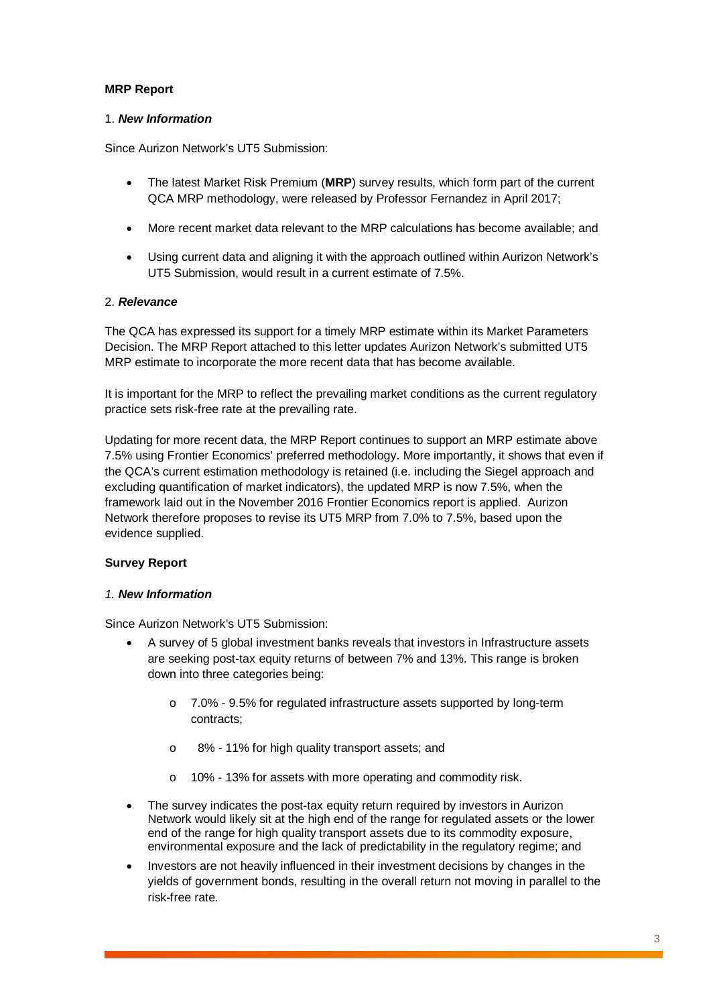# **MRP Report**

## 1. *New Information*

Since Aurizon Network's UT5 Submission:

- The latest Market Risk Premium (**MRP**) survey results, which form part of the current QCA MRP methodology, were released by Professor Fernandez in April 2017;
- More recent market data relevant to the MRP calculations has become available; and
- Using current data and aligning it with the approach outlined within Aurizon Network's UT5 Submission, would result in a current estimate of 7.5%.

# 2. *Relevance*

The QCA has expressed its support for a timely MRP estimate within its Market Parameters Decision. The MRP Report attached to this letter updates Aurizon Network's submitted UT5 MRP estimate to incorporate the more recent data that has become available.

It is important for the MRP to reflect the prevailing market conditions as the current regulatory practice sets risk-free rate at the prevailing rate.

Updating for more recent data, the MRP Report continues to support an MRP estimate above 7.5% using Frontier Economics' preferred methodology. More importantly, it shows that even if the QCA's current estimation methodology is retained (i.e. including the Siegel approach and excluding quantification of market indicators), the updated MRP is now 7.5%, when the framework laid out in the November 2016 Frontier Economics report is applied. Aurizon Network therefore proposes to revise its UT5 MRP from 7.0% to 7.5%, based upon the evidence supplied.

# **Survey Report**

## *1. New Information*

Since Aurizon Network's UT5 Submission:

- A survey of 5 global investment banks reveals that investors in Infrastructure assets are seeking post-tax equity returns of between 7% and 13%. This range is broken down into three categories being:
	- o 7.0% 9.5% for regulated infrastructure assets supported by long-term contracts;
	- o 8% 11% for high quality transport assets; and
	- o 10% 13% for assets with more operating and commodity risk.
- The survey indicates the post-tax equity return required by investors in Aurizon Network would likely sit at the high end of the range for regulated assets or the lower end of the range for high quality transport assets due to its commodity exposure, environmental exposure and the lack of predictability in the regulatory regime; and
- Investors are not heavily influenced in their investment decisions by changes in the yields of government bonds, resulting in the overall return not moving in parallel to the risk-free rate.